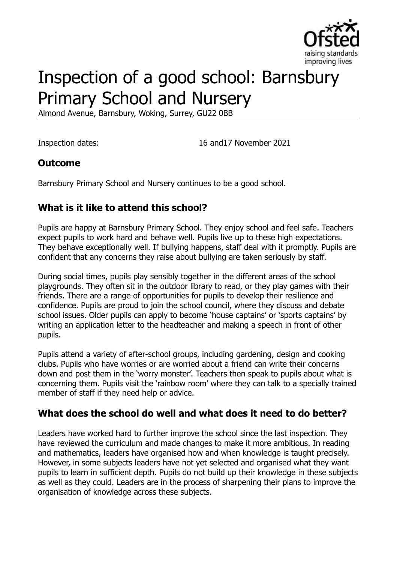

# Inspection of a good school: Barnsbury Primary School and Nursery

Almond Avenue, Barnsbury, Woking, Surrey, GU22 0BB

Inspection dates: 16 and17 November 2021

### **Outcome**

Barnsbury Primary School and Nursery continues to be a good school.

# **What is it like to attend this school?**

Pupils are happy at Barnsbury Primary School. They enjoy school and feel safe. Teachers expect pupils to work hard and behave well. Pupils live up to these high expectations. They behave exceptionally well. If bullying happens, staff deal with it promptly. Pupils are confident that any concerns they raise about bullying are taken seriously by staff.

During social times, pupils play sensibly together in the different areas of the school playgrounds. They often sit in the outdoor library to read, or they play games with their friends. There are a range of opportunities for pupils to develop their resilience and confidence. Pupils are proud to join the school council, where they discuss and debate school issues. Older pupils can apply to become 'house captains' or 'sports captains' by writing an application letter to the headteacher and making a speech in front of other pupils.

Pupils attend a variety of after-school groups, including gardening, design and cooking clubs. Pupils who have worries or are worried about a friend can write their concerns down and post them in the 'worry monster'. Teachers then speak to pupils about what is concerning them. Pupils visit the 'rainbow room' where they can talk to a specially trained member of staff if they need help or advice.

#### **What does the school do well and what does it need to do better?**

Leaders have worked hard to further improve the school since the last inspection. They have reviewed the curriculum and made changes to make it more ambitious. In reading and mathematics, leaders have organised how and when knowledge is taught precisely. However, in some subjects leaders have not yet selected and organised what they want pupils to learn in sufficient depth. Pupils do not build up their knowledge in these subjects as well as they could. Leaders are in the process of sharpening their plans to improve the organisation of knowledge across these subjects.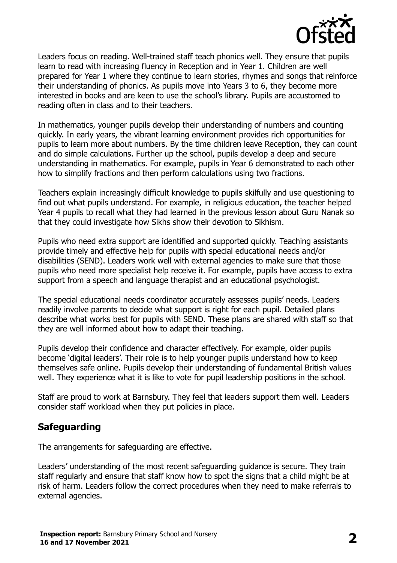

Leaders focus on reading. Well-trained staff teach phonics well. They ensure that pupils learn to read with increasing fluency in Reception and in Year 1. Children are well prepared for Year 1 where they continue to learn stories, rhymes and songs that reinforce their understanding of phonics. As pupils move into Years 3 to 6, they become more interested in books and are keen to use the school's library. Pupils are accustomed to reading often in class and to their teachers.

In mathematics, younger pupils develop their understanding of numbers and counting quickly. In early years, the vibrant learning environment provides rich opportunities for pupils to learn more about numbers. By the time children leave Reception, they can count and do simple calculations. Further up the school, pupils develop a deep and secure understanding in mathematics. For example, pupils in Year 6 demonstrated to each other how to simplify fractions and then perform calculations using two fractions.

Teachers explain increasingly difficult knowledge to pupils skilfully and use questioning to find out what pupils understand. For example, in religious education, the teacher helped Year 4 pupils to recall what they had learned in the previous lesson about Guru Nanak so that they could investigate how Sikhs show their devotion to Sikhism.

Pupils who need extra support are identified and supported quickly. Teaching assistants provide timely and effective help for pupils with special educational needs and/or disabilities (SEND). Leaders work well with external agencies to make sure that those pupils who need more specialist help receive it. For example, pupils have access to extra support from a speech and language therapist and an educational psychologist.

The special educational needs coordinator accurately assesses pupils' needs. Leaders readily involve parents to decide what support is right for each pupil. Detailed plans describe what works best for pupils with SEND. These plans are shared with staff so that they are well informed about how to adapt their teaching.

Pupils develop their confidence and character effectively. For example, older pupils become 'digital leaders'. Their role is to help younger pupils understand how to keep themselves safe online. Pupils develop their understanding of fundamental British values well. They experience what it is like to vote for pupil leadership positions in the school.

Staff are proud to work at Barnsbury. They feel that leaders support them well. Leaders consider staff workload when they put policies in place.

#### **Safeguarding**

The arrangements for safeguarding are effective.

Leaders' understanding of the most recent safeguarding guidance is secure. They train staff regularly and ensure that staff know how to spot the signs that a child might be at risk of harm. Leaders follow the correct procedures when they need to make referrals to external agencies.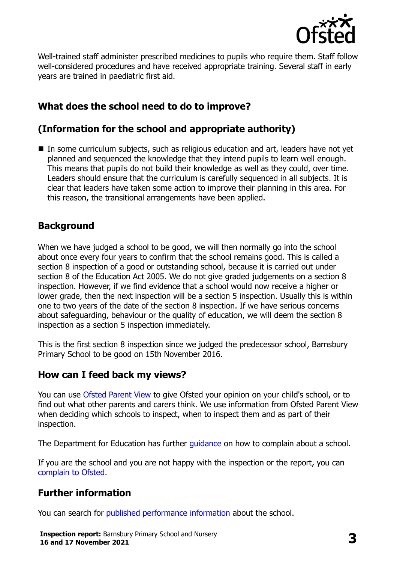

Well-trained staff administer prescribed medicines to pupils who require them. Staff follow well-considered procedures and have received appropriate training. Several staff in early years are trained in paediatric first aid.

# **What does the school need to do to improve?**

# **(Information for the school and appropriate authority)**

■ In some curriculum subjects, such as religious education and art, leaders have not yet planned and sequenced the knowledge that they intend pupils to learn well enough. This means that pupils do not build their knowledge as well as they could, over time. Leaders should ensure that the curriculum is carefully sequenced in all subjects. It is clear that leaders have taken some action to improve their planning in this area. For this reason, the transitional arrangements have been applied.

### **Background**

When we have judged a school to be good, we will then normally go into the school about once every four years to confirm that the school remains good. This is called a section 8 inspection of a good or outstanding school, because it is carried out under section 8 of the Education Act 2005. We do not give graded judgements on a section 8 inspection. However, if we find evidence that a school would now receive a higher or lower grade, then the next inspection will be a section 5 inspection. Usually this is within one to two years of the date of the section 8 inspection. If we have serious concerns about safeguarding, behaviour or the quality of education, we will deem the section 8 inspection as a section 5 inspection immediately.

This is the first section 8 inspection since we judged the predecessor school, Barnsbury Primary School to be good on 15th November 2016.

#### **How can I feed back my views?**

You can use [Ofsted Parent View](https://parentview.ofsted.gov.uk/) to give Ofsted your opinion on your child's school, or to find out what other parents and carers think. We use information from Ofsted Parent View when deciding which schools to inspect, when to inspect them and as part of their inspection.

The Department for Education has further quidance on how to complain about a school.

If you are the school and you are not happy with the inspection or the report, you can [complain to Ofsted.](https://www.gov.uk/complain-ofsted-report)

# **Further information**

You can search for [published performance information](http://www.compare-school-performance.service.gov.uk/) about the school.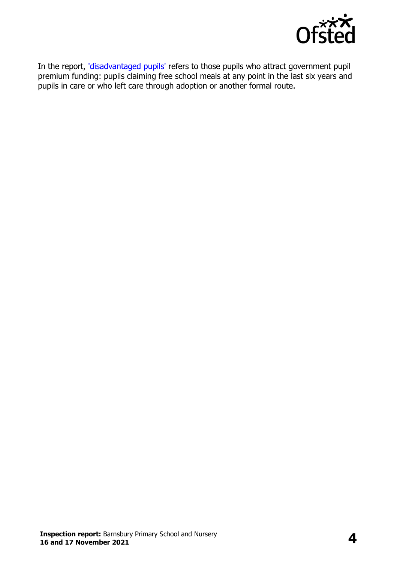

In the report, ['disadvantaged pupils'](http://www.gov.uk/guidance/pupil-premium-information-for-schools-and-alternative-provision-settings) refers to those pupils who attract government pupil premium funding: pupils claiming free school meals at any point in the last six years and pupils in care or who left care through adoption or another formal route.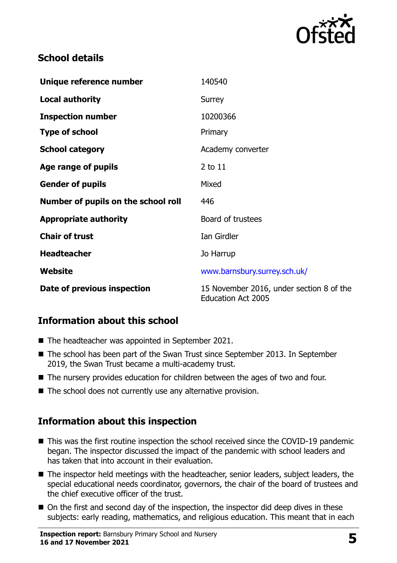

### **School details**

| Unique reference number             | 140540                                                                |
|-------------------------------------|-----------------------------------------------------------------------|
| <b>Local authority</b>              | Surrey                                                                |
| <b>Inspection number</b>            | 10200366                                                              |
| <b>Type of school</b>               | Primary                                                               |
| <b>School category</b>              | Academy converter                                                     |
| Age range of pupils                 | 2 to 11                                                               |
| <b>Gender of pupils</b>             | Mixed                                                                 |
| Number of pupils on the school roll | 446                                                                   |
| <b>Appropriate authority</b>        | Board of trustees                                                     |
| <b>Chair of trust</b>               | Ian Girdler                                                           |
| <b>Headteacher</b>                  | Jo Harrup                                                             |
| Website                             | www.barnsbury.surrey.sch.uk/                                          |
| Date of previous inspection         | 15 November 2016, under section 8 of the<br><b>Education Act 2005</b> |

# **Information about this school**

- The headteacher was appointed in September 2021.
- The school has been part of the Swan Trust since September 2013. In September 2019, the Swan Trust became a multi-academy trust.
- The nursery provides education for children between the ages of two and four.
- $\blacksquare$  The school does not currently use any alternative provision.

#### **Information about this inspection**

- This was the first routine inspection the school received since the COVID-19 pandemic began. The inspector discussed the impact of the pandemic with school leaders and has taken that into account in their evaluation.
- The inspector held meetings with the headteacher, senior leaders, subject leaders, the special educational needs coordinator, governors, the chair of the board of trustees and the chief executive officer of the trust.
- On the first and second day of the inspection, the inspector did deep dives in these subjects: early reading, mathematics, and religious education. This meant that in each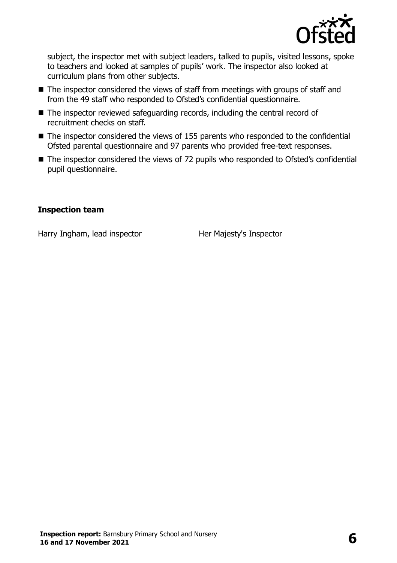

subject, the inspector met with subject leaders, talked to pupils, visited lessons, spoke to teachers and looked at samples of pupils' work. The inspector also looked at curriculum plans from other subjects.

- The inspector considered the views of staff from meetings with groups of staff and from the 49 staff who responded to Ofsted's confidential questionnaire.
- The inspector reviewed safeguarding records, including the central record of recruitment checks on staff.
- $\blacksquare$  The inspector considered the views of 155 parents who responded to the confidential Ofsted parental questionnaire and 97 parents who provided free-text responses.
- The inspector considered the views of 72 pupils who responded to Ofsted's confidential pupil questionnaire.

#### **Inspection team**

Harry Ingham, lead inspector Her Majesty's Inspector